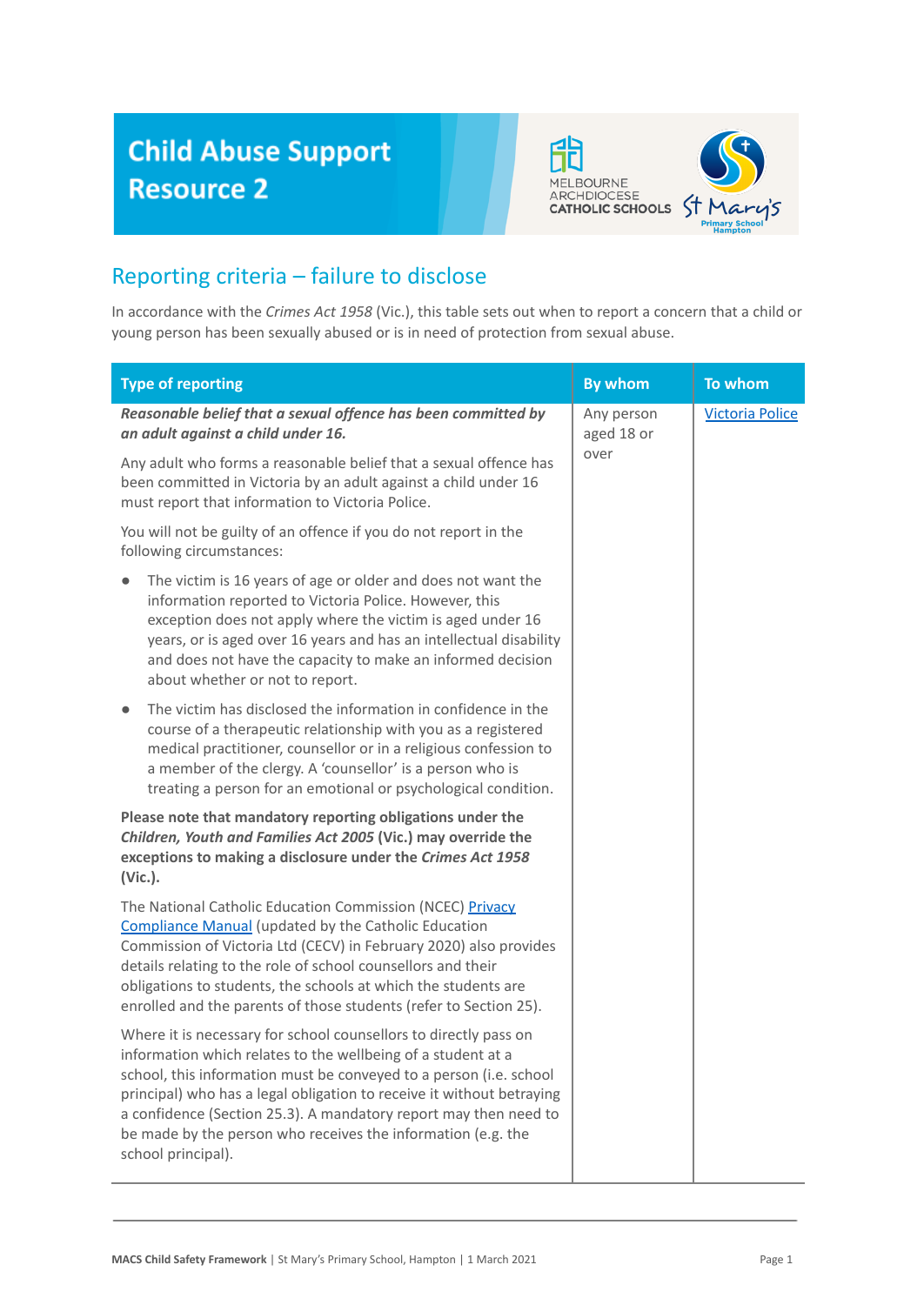## **Child Abuse Support Resource 2**



## Reporting criteria – failure to disclose

In accordance with the *Crimes Act 1958* (Vic.), this table sets out when to report a concern that a child or young person has been sexually abused or is in need of protection from sexual abuse.

| <b>Type of reporting</b>                                                                                                                                                                                                                                                                                                                                                                                                                  | <b>By whom</b>                   | To whom                |
|-------------------------------------------------------------------------------------------------------------------------------------------------------------------------------------------------------------------------------------------------------------------------------------------------------------------------------------------------------------------------------------------------------------------------------------------|----------------------------------|------------------------|
| Reasonable belief that a sexual offence has been committed by<br>an adult against a child under 16.                                                                                                                                                                                                                                                                                                                                       | Any person<br>aged 18 or<br>over | <b>Victoria Police</b> |
| Any adult who forms a reasonable belief that a sexual offence has<br>been committed in Victoria by an adult against a child under 16<br>must report that information to Victoria Police.                                                                                                                                                                                                                                                  |                                  |                        |
| You will not be guilty of an offence if you do not report in the<br>following circumstances:                                                                                                                                                                                                                                                                                                                                              |                                  |                        |
| The victim is 16 years of age or older and does not want the<br>information reported to Victoria Police. However, this<br>exception does not apply where the victim is aged under 16<br>years, or is aged over 16 years and has an intellectual disability<br>and does not have the capacity to make an informed decision<br>about whether or not to report.                                                                              |                                  |                        |
| The victim has disclosed the information in confidence in the<br>$\bullet$<br>course of a therapeutic relationship with you as a registered<br>medical practitioner, counsellor or in a religious confession to<br>a member of the clergy. A 'counsellor' is a person who is<br>treating a person for an emotional or psychological condition.                                                                                            |                                  |                        |
| Please note that mandatory reporting obligations under the<br>Children, Youth and Families Act 2005 (Vic.) may override the<br>exceptions to making a disclosure under the Crimes Act 1958<br>(Vic.).                                                                                                                                                                                                                                     |                                  |                        |
| The National Catholic Education Commission (NCEC) Privacy<br><b>Compliance Manual (updated by the Catholic Education</b><br>Commission of Victoria Ltd (CECV) in February 2020) also provides<br>details relating to the role of school counsellors and their<br>obligations to students, the schools at which the students are<br>enrolled and the parents of those students (refer to Section 25).                                      |                                  |                        |
| Where it is necessary for school counsellors to directly pass on<br>information which relates to the wellbeing of a student at a<br>school, this information must be conveyed to a person (i.e. school<br>principal) who has a legal obligation to receive it without betraying<br>a confidence (Section 25.3). A mandatory report may then need to<br>be made by the person who receives the information (e.g. the<br>school principal). |                                  |                        |